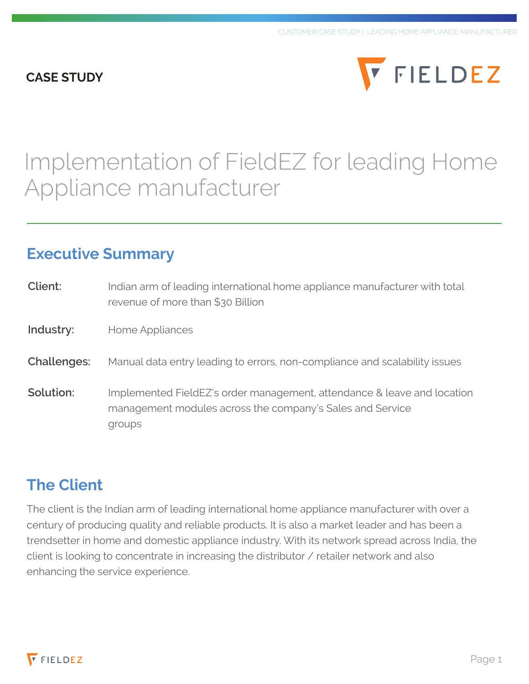#### **CASE STUDY**



# Implementation of FieldEZ for leading Home Appliance manufacturer

#### **Executive Summary**

| Client:            | Indian arm of leading international home appliance manufacturer with total<br>revenue of more than \$30 Billion                                |
|--------------------|------------------------------------------------------------------------------------------------------------------------------------------------|
| Industry:          | Home Appliances                                                                                                                                |
| <b>Challenges:</b> | Manual data entry leading to errors, non-compliance and scalability issues                                                                     |
| Solution:          | Implemented FieldEZ's order management, attendance & leave and location<br>management modules across the company's Sales and Service<br>groups |

### **The Client**

The client is the Indian arm of leading international home appliance manufacturer with over a century of producing quality and reliable products. It is also a market leader and has been a trendsetter in home and domestic appliance industry. With its network spread across India, the client is looking to concentrate in increasing the distributor / retailer network and also enhancing the service experience.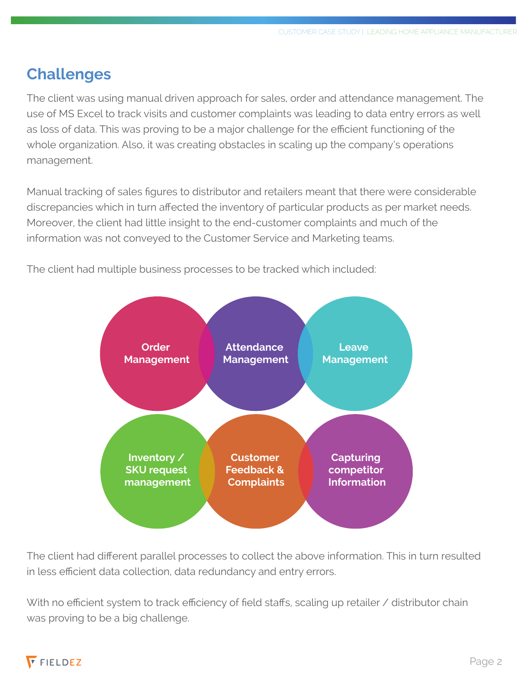# **Challenges**

The client was using manual driven approach for sales, order and attendance management. The use of MS Excel to track visits and customer complaints was leading to data entry errors as well as loss of data. This was proving to be a major challenge for the efficient functioning of the whole organization. Also, it was creating obstacles in scaling up the company's operations management.

Manual tracking of sales figures to distributor and retailers meant that there were considerable discrepancies which in turn affected the inventory of particular products as per market needs. Moreover, the client had little insight to the end-customer complaints and much of the information was not conveyed to the Customer Service and Marketing teams.



The client had multiple business processes to be tracked which included:

The client had different parallel processes to collect the above information. This in turn resulted in less efficient data collection, data redundancy and entry errors.

With no efficient system to track efficiency of field staffs, scaling up retailer / distributor chain was proving to be a big challenge.

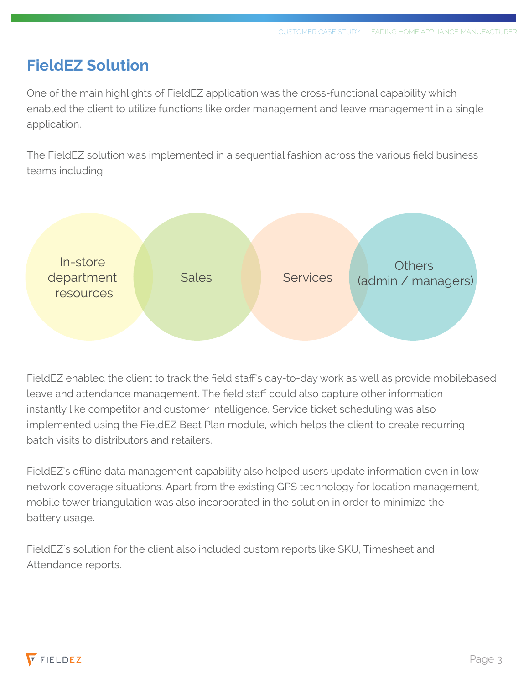### **FieldEZ Solution**

One of the main highlights of FieldEZ application was the cross-functional capability which enabled the client to utilize functions like order management and leave management in a single application.

The FieldEZ solution was implemented in a sequential fashion across the various field business teams including:



FieldEZ enabled the client to track the field staff's day-to-day work as well as provide mobilebased leave and attendance management. The field staff could also capture other information instantly like competitor and customer intelligence. Service ticket scheduling was also implemented using the FieldEZ Beat Plan module, which helps the client to create recurring batch visits to distributors and retailers.

FieldEZ's offline data management capability also helped users update information even in low network coverage situations. Apart from the existing GPS technology for location management, mobile tower triangulation was also incorporated in the solution in order to minimize the battery usage.

FieldEZ`s solution for the client also included custom reports like SKU, Timesheet and Attendance reports.